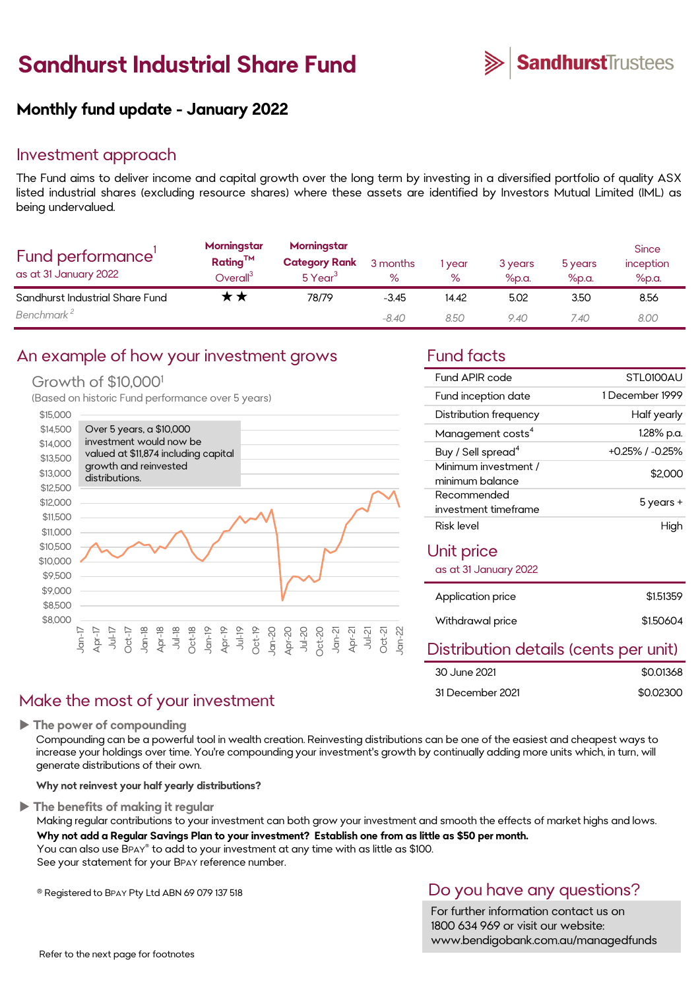# **Sandhurst Industrial Share Fund**



### **Monthly fund update - January 2022**

### Investment approach

The Fund aims to deliver income and capital growth over the long term by investing in a diversified portfolio of quality ASX listed industrial shares (excluding resource shares) where these assets are identified by Investors Mutual Limited (IML) as being undervalued.

| Fund performance'<br>as at 31 January 2022 | Morningstar<br>Rating <sup>TM</sup><br>$\mathsf{Overall}^3$ | Morningstar<br><b>Category Rank</b><br>$5$ Year <sup>3</sup> | 3 months<br>$\%$ | year<br>$\%$ | 3 years<br>%p.a. | 5 years<br>%p.a. | <b>Since</b><br>inception<br>%p.a. |
|--------------------------------------------|-------------------------------------------------------------|--------------------------------------------------------------|------------------|--------------|------------------|------------------|------------------------------------|
| Sandhurst Industrial Share Fund            |                                                             | 78/79                                                        | $-3.45$          | 14.42        | 5.02             | 3.50             | 8.56                               |
| Benchmark <sup>2</sup>                     |                                                             |                                                              | $-8.40$          | 8.50         | 9.40             | 7.40             | 8.00                               |

### An example of how your investment grows Fund facts

### Growth of \$10,000<sup>1</sup>

(Based on historic Fund performance over 5 years)



### Make the most of your investment

**The power of compounding**

Compounding can be a powerful tool in wealth creation. Reinvesting distributions can be one of the easiest and cheapest ways to increase your holdings over time. You're compounding your investment's growth by continually adding more units which, in turn, will generate distributions of their own.

**Why not reinvest your half yearly distributions?**

**The benefits of making it regular**

Making regular contributions to your investment can both grow your investment and smooth the effects of market highs and lows. **Why not add a Regular Savings Plan to your investment? Establish one from as little as \$50 per month.** 

You can also use BPAY® to add to your investment at any time with as little as \$100. See your statement for your BPAY reference number.

® Registered to BPAY Pty Ltd ABN 69 079 137 518

### Do you have any questions?

For further information contact us on 1800 634 969 or visit our website: www.bendigobank.com.au/managedfunds

| Fund APIR code                            | STI 0100AU            |
|-------------------------------------------|-----------------------|
| Fund inception date                       | 1 December 1999       |
| Distribution frequency                    | Half yearly           |
| Management costs <sup>4</sup>             | 1.28% p.a.            |
| Buy / Sell spread <sup>4</sup>            | $+0.25\%$ / $-0.25\%$ |
| Minimum investment /<br>minimum balance   | \$2,000               |
| Recommended<br>investment timeframe       | 5 years +             |
| Risk level                                | High                  |
| Unit price<br>$\sim$ $\sim$ $\sim$ $\sim$ |                       |

|  |  |  | as at 31 January 2022 |  |
|--|--|--|-----------------------|--|
|--|--|--|-----------------------|--|

| Application price                     | \$1.51359 |
|---------------------------------------|-----------|
| Withdrawal price                      | \$1,50604 |
| Distribution details (cents per unit) |           |

| <b>Production documented</b> toomed por anny |  |           |
|----------------------------------------------|--|-----------|
| 30 June 2021                                 |  | \$0.01368 |
| 31 December 2021                             |  | \$0.02300 |